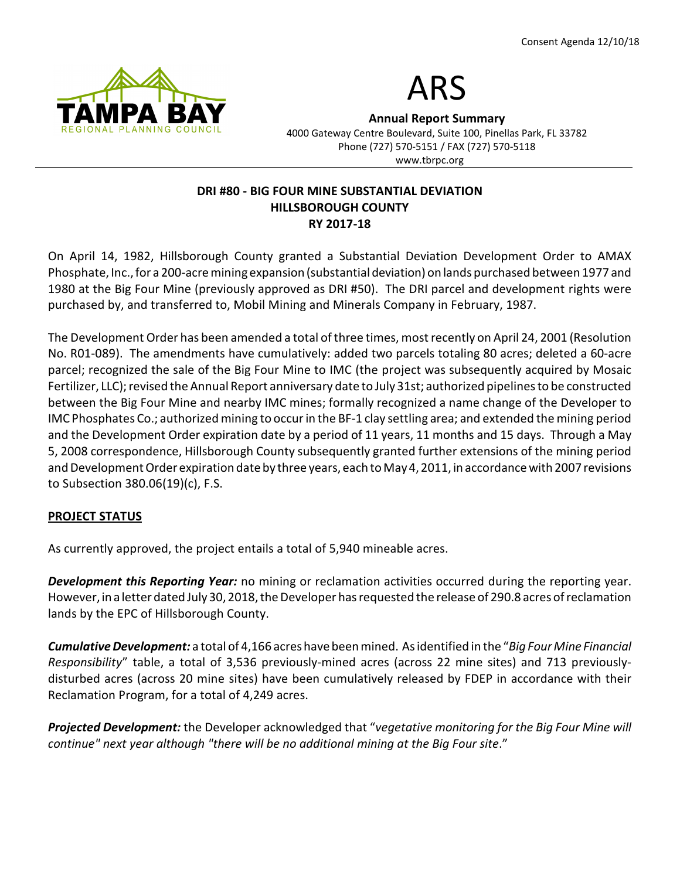



Annual Report Summary

4000 Gateway Centre Boulevard, Suite 100, Pinellas Park, FL 33782 Phone (727) 570-5151 / FAX (727) 570-5118 www.tbrpc.org

### DRI #80 - BIG FOUR MINE SUBSTANTIAL DEVIATION HILLSBOROUGH COUNTY RY 2017-18

On April 14, 1982, Hillsborough County granted a Substantial Deviation Development Order to AMAX Phosphate, Inc., for a 200-acre mining expansion (substantial deviation) on lands purchased between 1977 and 1980 at the Big Four Mine (previously approved as DRI #50). The DRI parcel and development rights were purchased by, and transferred to, Mobil Mining and Minerals Company in February, 1987.

The Development Order has been amended a total of three times, most recently on April 24, 2001 (Resolution No. R01-089). The amendments have cumulatively: added two parcels totaling 80 acres; deleted a 60-acre parcel; recognized the sale of the Big Four Mine to IMC (the project was subsequently acquired by Mosaic Fertilizer, LLC); revised the Annual Report anniversary date to July 31st; authorized pipelines to be constructed between the Big Four Mine and nearby IMC mines; formally recognized a name change of the Developer to IMC Phosphates Co.; authorized mining to occur in the BF-1 clay settling area; and extended the mining period and the Development Order expiration date by a period of 11 years, 11 months and 15 days. Through a May 5, 2008 correspondence, Hillsborough County subsequently granted further extensions of the mining period and Development Order expiration date by three years, each to May 4, 2011, in accordance with 2007 revisions to Subsection 380.06(19)(c), F.S.

# PROJECT STATUS

As currently approved, the project entails a total of 5,940 mineable acres.

**Development this Reporting Year:** no mining or reclamation activities occurred during the reporting year. However, in a letter dated July 30, 2018, the Developer has requested the release of 290.8 acres of reclamation lands by the EPC of Hillsborough County.

Cumulative Development: a total of 4,166 acres have been mined. As identified in the "Big Four Mine Financial Responsibility" table, a total of 3,536 previously-mined acres (across 22 mine sites) and 713 previouslydisturbed acres (across 20 mine sites) have been cumulatively released by FDEP in accordance with their Reclamation Program, for a total of 4,249 acres.

Projected Development: the Developer acknowledged that "vegetative monitoring for the Big Four Mine will continue" next year although "there will be no additional mining at the Big Four site."